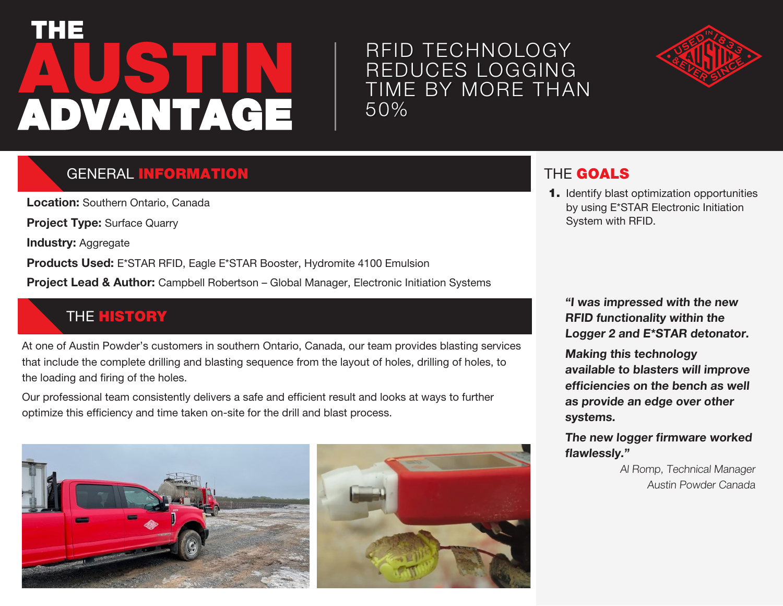# **AUSTIN** THE ADVANTAGE

## RFID TECHNOLOGY REDUCES LOGGING TIME BY MORE THAN 50%



## **GENERAL INFORMATION**

**Location:** Southern Ontario, Canada

**Project Type:** Surface Quarry

**Industry: Aggregate** 

**Products Used:** E\*STAR RFID, Eagle E\*STAR Booster, Hydromite 4100 Emulsion

**Project Lead & Author:** Campbell Robertson – Global Manager, Electronic Initiation Systems

#### **THE HISTORY**

At one of Austin Powder's customers in southern Ontario, Canada, our team provides blasting services that include the complete drilling and blasting sequence from the layout of holes, drilling of holes, to the loading and firing of the holes.

Our professional team consistently delivers a safe and efficient result and looks at ways to further optimize this efficiency and time taken on-site for the drill and blast process.





## THE GOALS

1. Identify blast optimization opportunities by using E\*STAR Electronic Initiation System with RFID.

**"I was impressed with the new RFID functionality within the Logger 2 and E\*STAR detonator.**

**Making this technology available to blasters will improve efficiencies on the bench as well as provide an edge over other systems.** 

**The new logger firmware worked flawlessly."**

> Al Romp, Technical Manager Austin Powder Canada